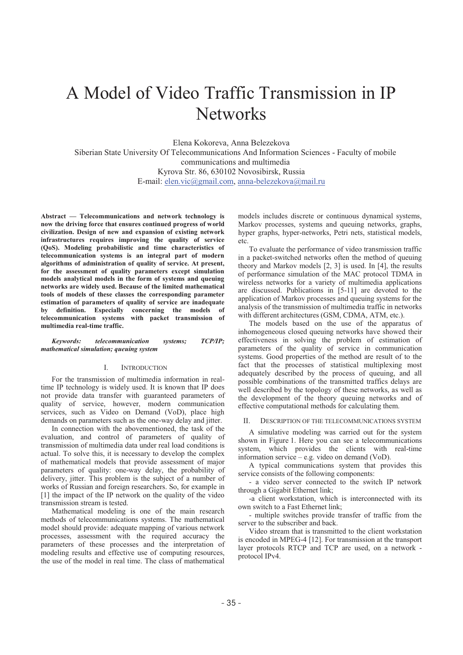# A Model of Video Traffic Transmission in IP **Networks**

Elena Kokoreva, Anna Belezekova

Siberian State University Of Telecommunications And Information Sciences - Faculty of mobile communications and multimedia Kyrova Str. 86, 630102 Novosibirsk, Russia E-mail: elen.vic@gmail.com, anna-belezekova@mail.ru

**Abstract - Telecommunications and network technology is now the driving force that ensures continued progress of world civilization. Design of new and expansion of existing network infrastructures requires improving the quality of service (QoS). Modeling probabilistic and time characteristics of telecommunication systems is an integral part of modern algorithms of administration of quality of service. At present, for the assessment of quality parameters except simulation models analytical models in the form of systems and queuing networks are widely used. Because of the limited mathematical tools of models of these classes the corresponding parameter estimation of parameters of quality of service are inadequate by definition. Especially concerning the models of telecommunication systems with packet transmission of multimedia real-time traffic.** 

## *Keywords: telecommunication systems; TCP/IP; mathematical simulation; queuing system*

#### I. INTRODUCTION

For the transmission of multimedia information in realtime IP technology is widely used. It is known that IP does not provide data transfer with guaranteed parameters of quality of service, however, modern communication services, such as Video on Demand (VoD), place high demands on parameters such as the one-way delay and jitter.

In connection with the abovementioned, the task of the evaluation, and control of parameters of quality of transmission of multimedia data under real load conditions is actual. To solve this, it is necessary to develop the complex of mathematical models that provide assessment of major parameters of quality: one-way delay, the probability of delivery, jitter. This problem is the subject of a number of works of Russian and foreign researchers. So, for example in [1] the impact of the IP network on the quality of the video transmission stream is tested.

Mathematical modeling is one of the main research methods of telecommunications systems. The mathematical model should provide: adequate mapping of various network processes, assessment with the required accuracy the parameters of these processes and the interpretation of modeling results and effective use of computing resources, the use of the model in real time. The class of mathematical

models includes discrete or continuous dynamical systems, Markov processes, systems and queuing networks, graphs, hyper graphs, hyper-networks, Petri nets, statistical models, etc.

To evaluate the performance of video transmission traffic in a packet-switched networks often the method of queuing theory and Markov models [2, 3] is used. In [4], the results of performance simulation of the MAC protocol TDMA in wireless networks for a variety of multimedia applications are discussed. Publications in [5-11] are devoted to the application of Markov processes and queuing systems for the analysis of the transmission of multimedia traffic in networks with different architectures (GSM, CDMA, ATM, etc.).

The models based on the use of the apparatus of inhomogeneous closed queuing networks have showed their effectiveness in solving the problem of estimation of parameters of the quality of service in communication systems. Good properties of the method are result of to the fact that the processes of statistical multiplexing most adequately described by the process of queuing, and all possible combinations of the transmitted traffics delays are well described by the topology of these networks, as well as the development of the theory queuing networks and of effective computational methods for calculating them.

#### II. DESCRIPTION OF THE TELECOMMUNICATIONS SYSTEM

A simulative modeling was carried out for the system shown in Figure 1. Here you can see a telecommunications system, which provides the clients with real-time information service  $-$  e.g. video on demand (VoD).

A typical communications system that provides this service consists of the following components:

- a video server connected to the switch IP network through a Gigabit Ethernet link;

-a client workstation, which is interconnected with its own switch to a Fast Ethernet link;

- multiple switches provide transfer of traffic from the server to the subscriber and back.

Video stream that is transmitted to the client workstation is encoded in MPEG-4 [12]. For transmission at the transport layer protocols RTCP and TCP are used, on a network protocol IPv4.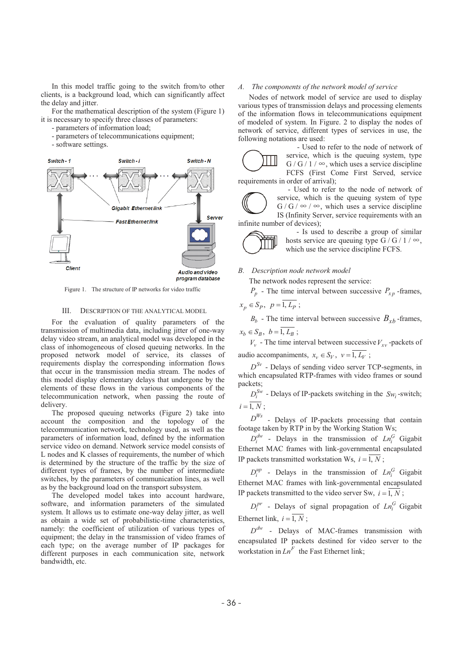In this model traffic going to the switch from/to other clients, is a background load, which can significantly affect the delay and jitter.

For the mathematical description of the system (Figure 1) it is necessary to specify three classes of parameters:

- parameters of information load;

- parameters of telecommunications equipment;

- software settings.



Figure 1. The structure of IP networks for video traffic

## III. DESCRIPTION OF THE ANALYTICAL MODEL

For the evaluation of quality parameters of the transmission of multimedia data, including jitter of one-way delay video stream, an analytical model was developed in the class of inhomogeneous of closed queuing networks. In the proposed network model of service, its classes of requirements display the corresponding information flows that occur in the transmission media stream. The nodes of this model display elementary delays that undergone by the elements of these flows in the various components of the telecommunication network, when passing the route of delivery.

The proposed queuing networks (Figure 2) take into account the composition and the topology of the telecommunication network, technology used, as well as the parameters of information load, defined by the information service video on demand. Network service model consists of L nodes and K classes of requirements, the number of which is determined by the structure of the traffic by the size of different types of frames, by the number of intermediate switches, by the parameters of communication lines, as well as by the background load on the transport subsystem.

The developed model takes into account hardware, software, and information parameters of the simulated system. It allows us to estimate one-way delay jitter, as well as obtain a wide set of probabilistic-time characteristics, namely: the coefficient of utilization of various types of equipment; the delay in the transmission of video frames of each type; on the average number of IP packages for different purposes in each communication site, network bandwidth, etc.

### *A. The components of the network model of service*

Nodes of network model of service are used to display various types of transmission delays and processing elements of the information flows in telecommunications equipment of modeled of system. In Figure. 2 to display the nodes of network of service, different types of services in use, the following notations are used:



- Used to refer to the node of network of service, which is the queuing system, type  $G/G/1/\infty$ , which uses a service discipline FCFS (First Come First Served, service requirements in order of arrival);

- Used to refer to the node of network of service, which is the queuing system of type  $G/G / \infty$  /  $\infty$ , which uses a service discipline IS (Infinity Server, service requirements with an infinite number of devices);

> - Is used to describe a group of similar hosts service are queuing type G / G / 1 /  $\infty$ , which use the service discipline FCFS.

*B. Description node network model* 

The network nodes represent the service:

 $P_p$  - The time interval between successive  $P_{xp}$  -frames,

$$
x_p \in S_p, \ p = \overline{1, L_p} \ ;
$$

 $B_b$  - The time interval between successive  $B_{xb}$ -frames,

 $x_h \in S_B$ ,  $b = \overline{1, L_B}$ ;

 $V_v$  - The time interval between successive  $V_{vv}$ -packets of audio accompaniments,  $x_v \in S_V$ ,  $v = \overline{1, L_V}$ ;

 $D^{Sv}$  - Delays of sending video server TCP-segments, in which encapsulated RTP-frames with video frames or sound packets;

 $D_i^{Sw}$  - Delays of IP-packets switching in the *Sw*<sub>i</sub>-switch;  $i = \overline{1, N}$ 

 $D^{Ws}$  - Delays of IP-packets processing that contain footage taken by RTP in by the Working Station Ws;

 $D_i^{dw}$  - Delays in the transmission of  $Ln_i^G$  Gigabit Ethernet MAC frames with link-governmental encapsulated IP packets transmitted workstation Ws,  $i = \overline{1, N}$ ;

 $D_i^{up}$  - Delays in the transmission of  $Ln_i^G$  Gigabit Ethernet MAC frames with link-governmental encapsulated IP packets transmitted to the video server Sw,  $i = \overline{1, N}$ ;

 $D_i^{pr}$  - Delays of signal propagation of  $Ln_i^G$  Gigabit Ethernet link,  $i = \overline{1, N}$ :

 $D^{dw}$  - Delays of MAC-frames transmission with encapsulated IP packets destined for video server to the workstation in  $Ln^F$  the Fast Ethernet link;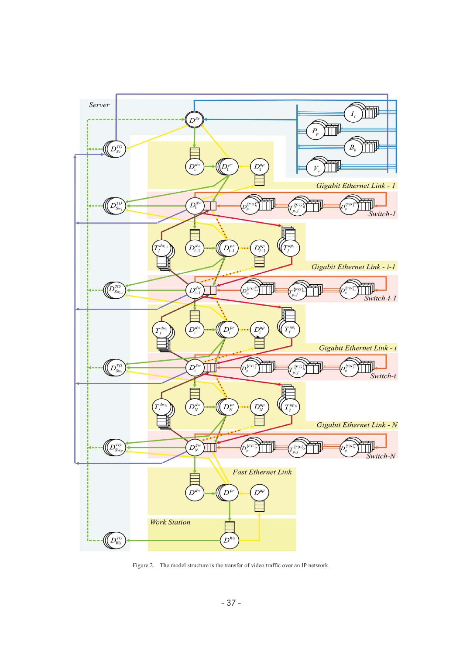

Figure 2. The model structure is the transfer of video traffic over an IP network.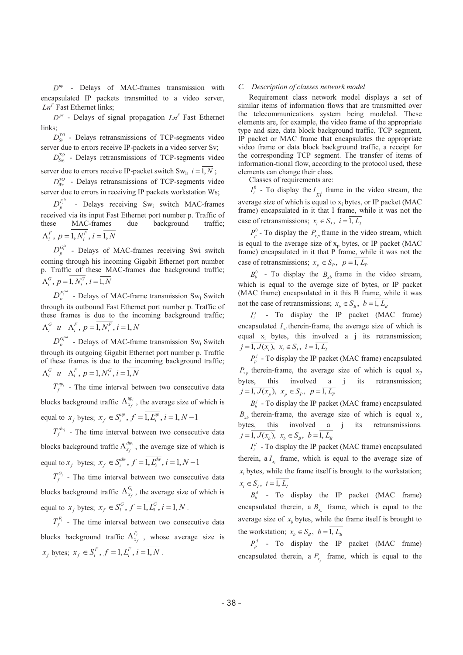*up D* - Delays of MAC-frames transmission with encapsulated IP packets transmitted to a video server,  $Ln<sup>F</sup>$  Fast Ethernet links;

 $D^{pr}$  - Delays of signal propagation  $Ln^F$  Fast Ethernet links;

 $D_{\infty}^{TO}$  - Delays retransmissions of TCP-segments video server due to errors receive IP-packets in a video server Sv;

 $D_{S_{W_i}}^{TO}$  - Delays retransmissions of TCP-segments video

server due to errors receive IP-packet switch Sw<sub>i</sub>,  $i = 1, N$ ;

 $D_{Ws}^{TO}$  - Delays retransmissions of TCP-segments video server due to errors in receiving IP packets workstation Ws;

 $D_n^{F_i^m}$  - Delays receiving Sw<sub>i</sub> switch MAC-frames received via its input Fast Ethernet port number p. Traffic of these MAC-frames due background traffic;  $\Lambda_i^F$ ,  $p = \overline{1, N_i^F}$ ,  $i = \overline{1, N_i^F}$ 

 $D_n^{G_i^{in}}$  - Delays of MAC-frames receiving Swi switch coming through his incoming Gigabit Ethernet port number p. Traffic of these MAC-frames due background traffic;  $\Lambda_i^G$ ,  $p = \overline{1, N_i^G}$ ,  $i = \overline{1, N_i^G}$ 

 $D_n^{F_i^{out}}$  - Delays of MAC-frame transmission Sw<sub>i</sub> Switch through its outbound Fast Ethernet port number p. Traffic of these frames is due to the incoming background traffic;  $\Lambda_i^G$  u  $\Lambda_i^F$ ,  $p = \overline{1, N_i^F}$ ,  $i = \overline{1, N}$ 

 $D_n^{G_i^{out}}$  - Delays of MAC-frame transmission Sw<sub>i</sub> Switch through its outgoing Gigabit Ethernet port number p. Traffic of these frames is due to the incoming background traffic;  $\Lambda_i^G$  u  $\Lambda_i^F$ ,  $p = \overline{1, N_i^G}$ ,  $i = \overline{1, N_i^G}$ 

 $T_f^{up_i}$  - The time interval between two consecutive data blocks background traffic  $\Lambda_{x_f}^{up_i}$ , the average size of which is equal to  $x_t$  bytes;  $x_t \in S_i^{up}$ ,  $f = \overline{1, L_i^{up}}$ ,  $i = \overline{1, N-1}$ 

 $T_f^{dw_i}$  - The time interval between two consecutive data blocks background traffic  $\Lambda_{x_f}^{dw_i}$ , the average size of which is equal to  $x_f$  bytes;  $x_f \in S_i^{dw}$ ,  $f = \overline{1, L_i^{dw}}$ ,  $i = \overline{1, N-1}$ 

 $T_f^{G_i}$  - The time interval between two consecutive data blocks background traffic  $\Lambda_{x_f}^{G_i}$ , the average size of which is equal to  $x_f$  bytes;  $x_f \in S_i^G$ ,  $f = \overline{1, L_i^G}$ ,  $i = \overline{1, N}$ .

 $T_f^{F_i}$  - The time interval between two consecutive data blocks background traffic  $\Lambda_{x_f}^{F_i}$ , whose average size is  $x_f$  bytes;  $x_f \in S_i^F$ ,  $f = \overline{1, L_i^F}$ ,  $i = \overline{1, N}$ .

#### *C. Description of classes network model*

Requirement class network model displays a set of similar items of information flows that are transmitted over the telecommunications system being modeled. These elements are, for example, the video frame of the appropriate type and size, data block background traffic, TCP segment, IP packet or MAC frame that encapsulates the appropriate video frame or data block background traffic, a receipt for the corresponding TCP segment. The transfer of items of information-tional flow, according to the protocol used, these elements can change their class.

Classes of requirements are:

 $I_i^0$  - To display the  $I_{xi}$  frame in the video stream, the average size of which is equal to  $x_i$  bytes, or IP packet (MAC)

frame) encapsulated in it that I frame, while it was not the case of retransmissions;  $x_i \in S_i$ ,  $i = \overline{1, L_i}$ 

 $P_p^0$  - To display the  $P_{xp}$  frame in the video stream, which is equal to the average size of  $x_p$  bytes, or IP packet (MAC frame) encapsulated in it that P frame, while it was not the case of retransmissions;  $x_p \in S_p$ ,  $p = \overline{1, L_p}$ 

 $B_b^0$  - To display the  $B_{xb}$  frame in the video stream, which is equal to the average size of bytes, or IP packet (MAC frame) encapsulated in it this B frame, while it was not the case of retransmissions;  $x_h \in S_B$ ,  $b = \overline{1, L_h}$ 

 $I_i^j$  - To display the IP packet (MAC frame) encapsulated  $I_{vi}$  therein-frame, the average size of which is equal  $x_i$  bytes, this involved a j its retransmission;  $j = \overline{1, J(x_i)}, \ x_i \in S_i, \ i = \overline{1, L_i}$ 

 $P_p^j$  - To display the IP packet (MAC frame) encapsulated  $P_{x,p}$  therein-frame, the average size of which is equal  $x_p$ bytes, this involved a j its retransmission;  $j = \overline{1, J(x_p)}, \; x_p \in S_p, \; p = \overline{1, L_p}$ 

 $B<sub>b</sub><sup>j</sup>$  - To display the IP packet (MAC frame) encapsulated  $B_{rh}$  therein-frame, the average size of which is equal  $x<sub>b</sub>$ bytes, this involved a j its retransmissions.  $j = \overline{1, J(x_h)}$ ,  $x_h \in S_B$ ,  $b = \overline{1, L_B}$ 

 $I_i^d$  - To display the IP packet (MAC frame) encapsulated therein, a  $I<sub>x</sub>$  frame, which is equal to the average size of  $x_i$  bytes, while the frame itself is brought to the workstation;  $x_i \in S_I$ ,  $i=\overline{1, L_I}$ 

 $B_{\iota}^{d}$  - To display the IP packet (MAC frame) encapsulated therein, a  $B<sub>x</sub>$  frame, which is equal to the average size of  $x<sub>b</sub>$  bytes, while the frame itself is brought to the workstation;  $x_b \in S_B$ ,  $b = \overline{1, L_B}$ 

 $P_p^d$  - To display the IP packet (MAC frame) encapsulated therein, a  $P_{x}$  frame, which is equal to the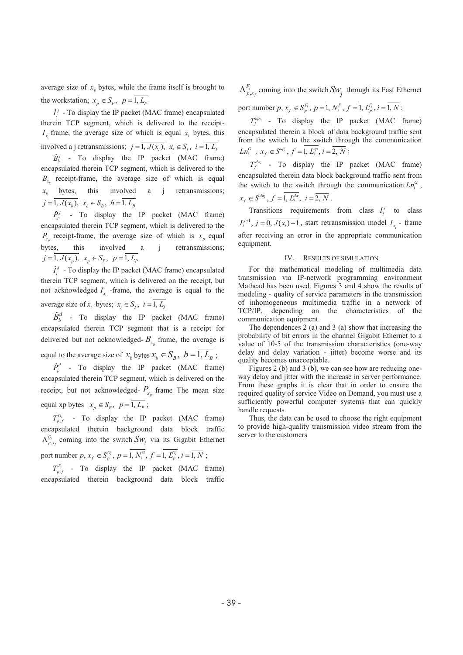average size of  $x_p$  bytes, while the frame itself is brought to the workstation;  $x_p \in S_p$ ,  $p = \overline{1, L_p}$ 

 $j_i^j$  - To display the IP packet (MAC frame) encapsulated therein TCP segment, which is delivered to the receipt- $I<sub>x</sub>$  frame, the average size of which is equal  $x<sub>i</sub>$  bytes, this involved a j retransmissions;  $j = \overline{1, J(x_i)}$ ,  $x_i \in S_i$ ,  $i = \overline{1, L_i}$ 

 $\dot{B}_{b}^{j}$  - To display the IP packet (MAC frame) encapsulated therein TCP segment, which is delivered to the  $B_{x}$  receipt-frame, the average size of which is equal  $x<sub>b</sub>$  bytes, this involved a j retransmissions;  $j = \overline{1, J(x_b)}, \; x_b \in S_B, \; b = \overline{1, L_B}$ 

 $\dot{P}_n^j$  - To display the IP packet (MAC frame) encapsulated therein TCP segment, which is delivered to the  $P_x$  receipt-frame, the average size of which is  $x_n$  equal bytes, this involved a j retransmissions;  $j = \overline{1, J(x_p)}, x_p \in S_p, p = \overline{1, L_p}$ 

 $\dot{I}_i^d$  - To display the IP packet (MAC frame) encapsulated therein TCP segment, which is delivered on the receipt, but not acknowledged  $I_{x}$  -frame, the average is equal to the average size of  $x_i$  bytes;  $x_i \in S_i$ ,  $i = \overline{1, L_i}$ 

 $\dot{B}_h^d$  - To display the IP packet (MAC frame) encapsulated therein TCP segment that is a receipt for delivered but not acknowledged- $B<sub>x</sub>$  frame, the average is equal to the average size of  $x_b$  bytes  $x_b \in S_B$ ,  $b = \overline{1, L_B}$ ;

 $\dot{P}_p^d$  - To display the IP packet (MAC frame) encapsulated therein TCP segment, which is delivered on the receipt, but not acknowledged-  $P_{x_n}$  frame The mean size equal xp bytes  $x_p \in S_p$ ,  $p = \overline{1, L_p}$ ;

 $T_{p,f}^{G_i}$  - To display the IP packet (MAC frame) encapsulated therein background data block traffic  $\Lambda_{p,x_i}^{G_i}$  coming into the switch  $Sw_i$  via its Gigabit Ethernet port number  $p, x_f \in S_p^{G_i}$ ,  $p = \overline{1, N_i^G}$ ,  $f = \overline{1, L_p^{G_i}}$ ,  $i = \overline{1, N}$ ;

 $T_{p,f}^{F_i}$  - To display the IP packet (MAC frame) encapsulated therein background data block traffic

, *i*  $\Lambda_{p,x_f}^{F_i}$  coming into the switch  $Sw_i$  through its Fast Ethernet port number  $p, x_j \in S_p^{F_i}$ ,  $p = \overline{1, N_i^F}$ ,  $f = \overline{1, L_p^{F_i}}$ ,  $i = \overline{1, N}$ ;

 $T_f^{up_i}$  - To display the IP packet (MAC frame) encapsulated therein a block of data background traffic sent from the switch to the switch through the communication  $Ln_i^G$ ,  $x_f \in S^{up_i}$ ,  $f = \overline{1, L_i^{up_i}}$ ,  $i = \overline{2, N}$ ;

 $T_f^{dw_i}$  - To display the IP packet (MAC frame) encapsulated therein data block background traffic sent from the switch to the switch through the communication  $Ln_i^G$ ,

$$
x_f \in S^{dw_i}
$$
,  $f = \overline{1, L_i^{dw_i}}$ ,  $i = \overline{2, N}$ .

Transitions requirements from class  $I_i^j$  to class  $I_i^{j+1}$ ,  $j = \overline{0, J(x_i) - 1}$ , start retransmission model  $I_{x_i}$  - frame after receiving an error in the appropriate communication equipment.

# IV. RESULTS OF SIMULATION

For the mathematical modeling of multimedia data transmission via IP-network programming environment Mathcad has been used. Figures 3 and 4 show the results of modeling - quality of service parameters in the transmission of inhomogeneous multimedia traffic in a network of TCP/IP, depending on the characteristics of the communication equipment.

The dependences 2 (a) and 3 (a) show that increasing the probability of bit errors in the channel Gigabit Ethernet to a value of 10-5 of the transmission characteristics (one-way delay and delay variation - jitter) become worse and its quality becomes unacceptable.

Figures 2 (b) and 3 (b), we can see how are reducing oneway delay and jitter with the increase in server performance. From these graphs it is clear that in order to ensure the required quality of service Video on Demand, you must use a sufficiently powerful computer systems that can quickly handle requests.

Thus, the data can be used to choose the right equipment to provide high-quality transmission video stream from the server to the customers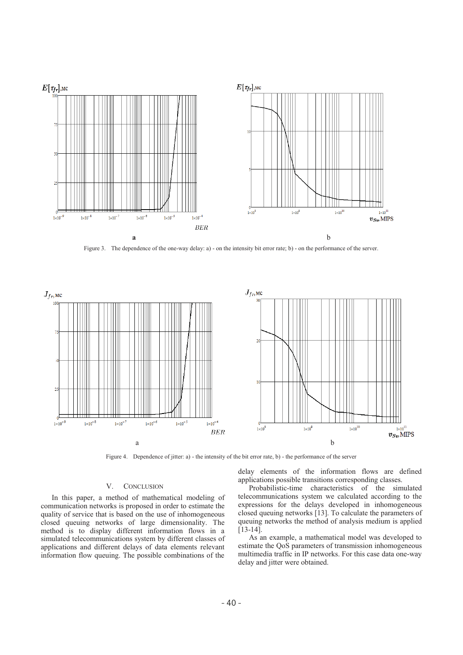

Figure 3. The dependence of the one-way delay: a) - on the intensity bit error rate; b) - on the performance of the server.



Figure 4. Dependence of jitter: a) - the intensity of the bit error rate, b) - the performance of the server

#### V. CONCLUSION

In this paper, a method of mathematical modeling of communication networks is proposed in order to estimate the quality of service that is based on the use of inhomogeneous closed queuing networks of large dimensionality. The method is to display different information flows in a simulated telecommunications system by different classes of applications and different delays of data elements relevant information flow queuing. The possible combinations of the

delay elements of the information flows are defined applications possible transitions corresponding classes.

Probabilistic-time characteristics of the simulated telecommunications system we calculated according to the expressions for the delays developed in inhomogeneous closed queuing networks [13]. To calculate the parameters of queuing networks the method of analysis medium is applied [13-14].

As an example, a mathematical model was developed to estimate the QoS parameters of transmission inhomogeneous multimedia traffic in IP networks. For this case data one-way delay and jitter were obtained.